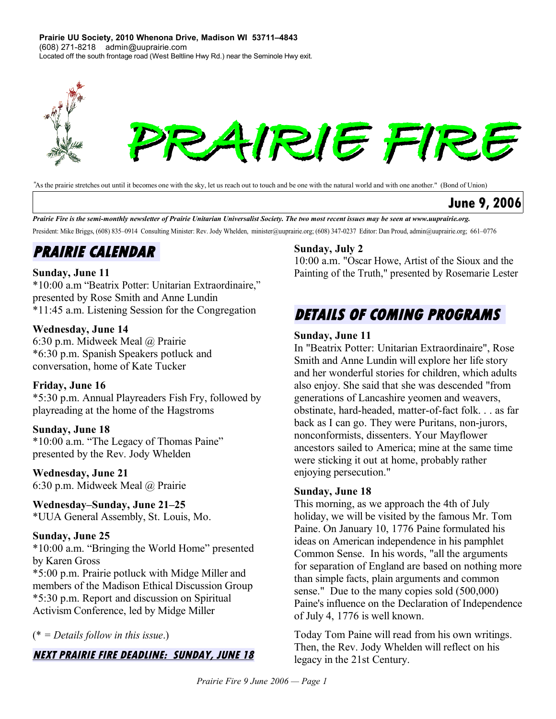**Prairie UU Society, 2010 Whenona Drive, Madison WI 53711–4843** (608) 271-8218 admin@uuprairie.com Located off the south frontage road (West Beltline Hwy Rd.) near the Seminole Hwy exit.



*"*As the prairie stretches out until it becomes one with the sky, let us reach out to touch and be one with the natural world and with one another." (Bond of Union)

### **June 9, 2006**

Prairie Fire is the semi-monthly newsletter of Prairie Unitarian Universalist Society. The two most recent issues may be seen at [www.uuprairie.org.](file:///C:/Documents and Settings/Office/My Documents/Prairie Fire newsletter/2006/PF20060421/www.uuprairie.org) President: Mike Briggs, (608) 835–0914 Consulting Minister: Rev. Jody Whelden, [minister@uuprairie.org;](mailto:minister@uuprairie.org) (608) 347-0237 Editor: Dan Proud, admin@uuprairie.org; 661–0776

# **PRAIRIE CALENDAR**

### **Sunday, June 11**

\*10:00 a.m "Beatrix Potter: Unitarian Extraordinaire," presented by Rose Smith and Anne Lundin \*11:45 a.m. Listening Session for the Congregation

#### **Wednesday, June 14**

6:30 p.m. Midweek Meal @ Prairie \*6:30 p.m. Spanish Speakers potluck and conversation, home of Kate Tucker

### **Friday, June 16**

\*5:30 p.m. Annual Playreaders Fish Fry, followed by playreading at the home of the Hagstroms

#### **Sunday, June 18**

\*10:00 a.m. "The Legacy of Thomas Paine" presented by the Rev. Jody Whelden

#### **Wednesday, June 21**

6:30 p.m. Midweek Meal @ Prairie

**Wednesday–Sunday, June 21–25** \*UUA General Assembly, St. Louis, Mo.

### **Sunday, June 25**

\*10:00 a.m. "Bringing the World Home" presented by Karen Gross \*5:00 p.m. Prairie potluck with Midge Miller and members of the Madison Ethical Discussion Group \*5:30 p.m. Report and discussion on Spiritual Activism Conference, led by Midge Miller

### (\* *= Details follow in this issue*.)

### **NEXT PRAIRIE FIRE DEADLINE: SUNDAY, JUNE 18**

#### **Sunday, July 2**

10:00 a.m. "Oscar Howe, Artist of the Sioux and the Painting of the Truth," presented by Rosemarie Lester

## **DETAILS OF COMING PROGRAMS**

#### **Sunday, June 11**

In "Beatrix Potter: Unitarian Extraordinaire", Rose Smith and Anne Lundin will explore her life story and her wonderful stories for children, which adults also enjoy. She said that she was descended "from generations of Lancashire yeomen and weavers, obstinate, hard-headed, matter-of-fact folk. . . as far back as I can go. They were Puritans, non-jurors, nonconformists, dissenters. Your Mayflower ancestors sailed to America; mine at the same time were sticking it out at home, probably rather enjoying persecution."

#### **Sunday, June 18**

This morning, as we approach the 4th of July holiday, we will be visited by the famous Mr. Tom Paine. On January 10, 1776 Paine formulated his ideas on American independence in his pamphlet Common Sense. In his words, "all the arguments for separation of England are based on nothing more than simple facts, plain arguments and common sense." Due to the many copies sold (500,000) Paine's influence on the Declaration of Independence of July 4, 1776 is well known.

Today Tom Paine will read from his own writings. Then, the Rev. Jody Whelden will reflect on his legacy in the 21st Century.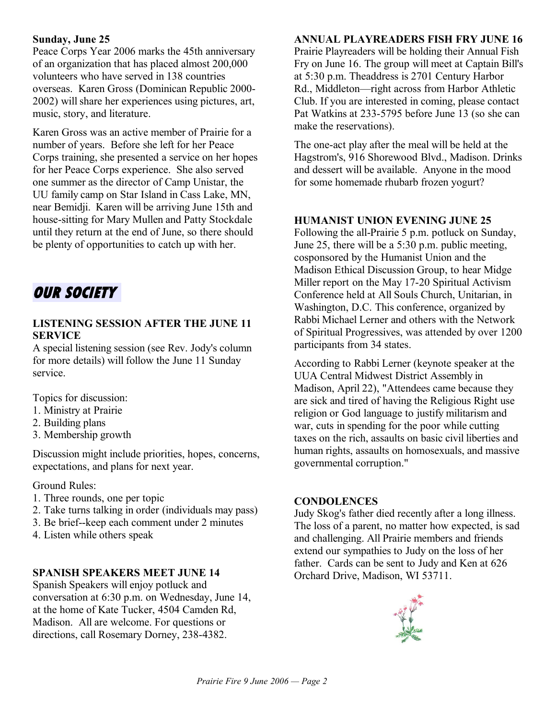#### **Sunday, June 25**

Peace Corps Year 2006 marks the 45th anniversary of an organization that has placed almost 200,000 volunteers who have served in 138 countries overseas. Karen Gross (Dominican Republic 2000- 2002) willshare her experiences using pictures, art, music, story, and literature.

Karen Gross was an active member of Prairie for a number of years. Before she left for her Peace Corps training, she presented a service on her hopes for her Peace Corps experience. She also served one summer as the director of Camp Unistar, the UU family camp on Star Island in Cass Lake, MN, near Bemidji. Karen will be arriving June 15th and house-sitting for Mary Mullen and Patty Stockdale until they return at the end of June, so there should be plenty of opportunities to catch up with her.

# **OUR SOCIETY**

### **LISTENING SESSION AFTER THE JUNE 11 SERVICE**

A special listening session (see Rev. Jody's column for more details) will follow the June 11 Sunday service.

Topics for discussion:

- 1. Ministry at Prairie
- 2. Building plans
- 3. Membership growth

Discussion might include priorities, hopes, concerns, expectations, and plans for next year.

### Ground Rules:

- 1. Three rounds, one per topic
- 2. Take turns talking in order (individuals may pass)
- 3. Be brief--keep each comment under 2 minutes
- 4. Listen while others speak

### **SPANISH SPEAKERS MEET JUNE 14**

Spanish Speakers will enjoy potluck and conversation at 6:30 p.m. on Wednesday, June 14, at the home of Kate Tucker, 4504 Camden Rd, Madison. All are welcome. For questions or directions, call Rosemary Dorney, 238-4382.

#### **ANNUAL PLAYREADERS FISH FRY JUNE 16**

Prairie Playreaders will be holding their Annual Fish Fry on June 16. The group will meet at Captain Bill's at 5:30 p.m. Theaddress is 2701 Century Harbor Rd., Middleton—right across from Harbor Athletic Club. If you are interested in coming, please contact Pat Watkins at 233-5795 before June 13 (so she can make the reservations).

The one-act play after the meal will be held at the Hagstrom's, 916 Shorewood Blvd., Madison. Drinks and dessert will be available. Anyone in the mood for some homemade rhubarb frozen yogurt?

### **HUMANIST UNION EVENING JUNE 25**

Following the all-Prairie 5 p.m. potluck on Sunday, June 25, there will be a 5:30 p.m. public meeting, cosponsored by the Humanist Union and the Madison Ethical Discussion Group, to hear Midge Miller report on the May 17-20 Spiritual Activism Conference held at All Souls Church, Unitarian, in Washington, D.C. This conference, organized by Rabbi Michael Lerner and others with the Network of Spiritual Progressives, was attended by over 1200 participants from 34 states.

According to Rabbi Lerner (keynote speaker at the UUA Central Midwest District Assembly in Madison, April 22), "Attendees came because they are sick and tired of having the Religious Right use religion or God language to justify militarism and war, cuts in spending for the poor while cutting taxes on the rich, assaults on basic civil liberties and human rights, assaults on homosexuals, and massive governmental corruption."

#### **CONDOLENCES**

Judy Skog's father died recently after a long illness. The loss of a parent, no matter how expected, is sad and challenging. All Prairie members and friends extend our sympathies to Judy on the loss of her father. Cards can be sent to Judy and Ken at 626 Orchard Drive, Madison, WI 53711.

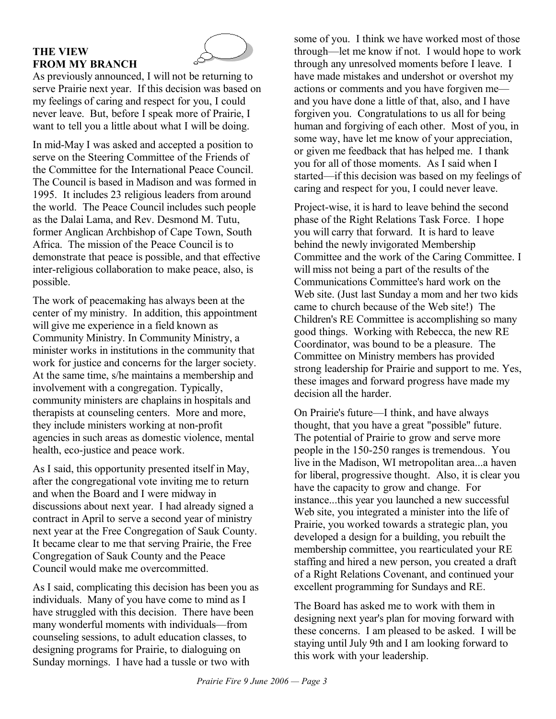### **THE VIEW FROM MY BRANCH**



As previously announced, I will not be returning to serve Prairie next year. If this decision was based on my feelings of caring and respect for you, I could never leave. But, before I speak more of Prairie, I want to tell you a little about what I will be doing.

In mid-May I was asked and accepted a position to serve on the Steering Committee of the Friends of the Committee for the International Peace Council. The Council is based in Madison and was formed in 1995. It includes 23 religious leaders from around the world. The Peace Council includes such people as the Dalai Lama, and Rev. Desmond M. Tutu, former Anglican Archbishop of Cape Town, South Africa. The mission of the Peace Council is to demonstrate that peace is possible, and that effective inter-religious collaboration to make peace, also, is possible.

The work of peacemaking has always been at the center of my ministry. In addition, this appointment will give me experience in a field known as Community Ministry. In Community Ministry, a minister works in institutions in the community that work for justice and concerns for the larger society. At the same time, s/he maintains a membership and involvement with a congregation. Typically, community ministers are chaplains in hospitals and therapists at counseling centers. More and more, they include ministers working at non-profit agencies in such areas as domestic violence, mental health, eco-justice and peace work.

As I said, this opportunity presented itself in May, after the congregational vote inviting me to return and when the Board and I were midway in discussions about next year. I had already signed a contract in April to serve a second year of ministry next year at the Free Congregation of Sauk County. It became clear to me that serving Prairie, the Free Congregation of Sauk County and the Peace Council would make me overcommitted.

As I said, complicating this decision has been you as individuals. Many of you have come to mind as I have struggled with this decision. There have been many wonderful moments with individuals—from counseling sessions, to adult education classes, to designing programs for Prairie, to dialoguing on Sunday mornings. I have had a tussle or two with

some of you. I think we have worked most of those through—let me know if not. I would hope to work through any unresolved moments before I leave. I have made mistakes and undershot or overshot my actions or comments and you have forgiven me and you have done a little of that, also, and I have forgiven you. Congratulations to us all for being human and forgiving of each other. Most of you, in some way, have let me know of your appreciation, or given me feedback that has helped me. I thank you for all of those moments. As I said when I started—if this decision was based on my feelings of caring and respect for you, I could never leave.

Project-wise, it is hard to leave behind the second phase of the Right Relations Task Force. I hope you will carry that forward. It is hard to leave behind the newly invigorated Membership Committee and the work of the Caring Committee. I will miss not being a part of the results of the Communications Committee's hard work on the Web site. (Just last Sunday a mom and her two kids came to church because of the Web site!) The Children's RE Committee is accomplishing so many good things. Working with Rebecca, the new RE Coordinator, was bound to be a pleasure. The Committee on Ministry members has provided strong leadership for Prairie and support to me. Yes, these images and forward progress have made my decision all the harder.

On Prairie's future—I think, and have always thought, that you have a great "possible" future. The potential of Prairie to grow and serve more people in the 150-250 ranges is tremendous. You live in the Madison, WI metropolitan area...a haven for liberal, progressive thought. Also, it is clear you have the capacity to grow and change. For instance...this year you launched a new successful Web site, you integrated a minister into the life of Prairie, you worked towards a strategic plan, you developed a design for a building, you rebuilt the membership committee, you rearticulated your RE staffing and hired a new person, you created a draft of a Right Relations Covenant, and continued your excellent programming for Sundays and RE.

The Board has asked me to work with them in designing next year's plan for moving forward with these concerns. I am pleased to be asked. I will be staying until July 9th and I am looking forward to this work with your leadership.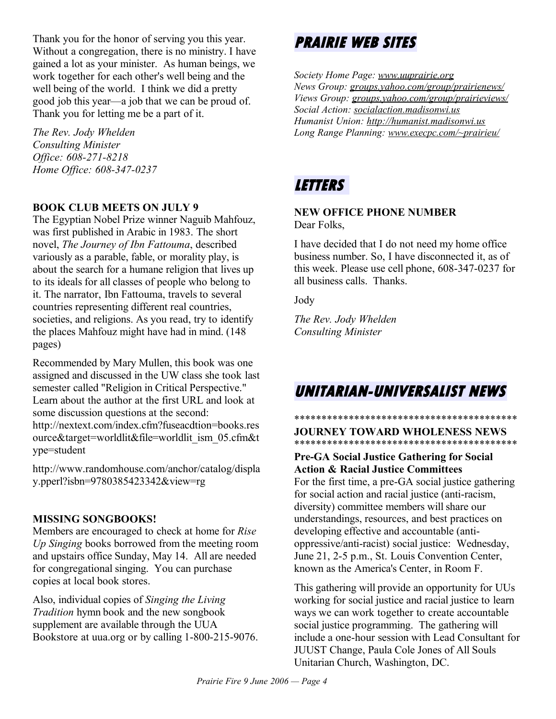Thank you for the honor of serving you this year. Without a congregation, there is no ministry. I have gained a lot as your minister. As human beings, we work together for each other's well being and the well being of the world. I think we did a pretty good job this year—a job that we can be proud of. Thank you for letting me be a part of it.

*The Rev. Jody Whelden Consulting Minister Office: 608-271-8218 Home Office: 608-347-0237*

### **BOOK CLUB MEETS ON JULY 9**

The Egyptian Nobel Prize winner Naguib Mahfouz, was first published in Arabic in 1983. The short novel, *The Journey of Ibn Fattouma*, described variously as a parable, fable, or morality play, is about the search for a humane religion that lives up to its ideals for all classes of people who belong to it. The narrator, Ibn Fattouma, travels to several countries representing different real countries, societies, and religions. As you read, try to identify the places Mahfouz might have had in mind. (148 pages)

Recommended by Mary Mullen, this book was one assigned and discussed in the UW class she took last semester called "Religion in Critical Perspective." Learn about the author at the first URL and look at some discussion questions at the second: http://nextext.com/index.cfm?fuseacdtion=books.res ource&target=worldlit&file=worldlit\_ism\_05.cfm&t ype=student

http://www.randomhouse.com/anchor/catalog/displa y.pperl?isbn=9780385423342&view=rg

### **MISSING SONGBOOKS!**

Members are encouraged to check at home for *Rise Up Singing* books borrowed from the meeting room and upstairs office Sunday, May 14. All are needed for congregational singing. You can purchase copies at local book stores.

Also, individual copies of *Singing the Living Tradition* hymn book and the new songbook supplement are available through the UUA Bookstore at uua.org or by calling 1-800-215-9076.

# **PRAIRIE WEB SITES**

*Society Home Page: [w ww.uupr airie.org](http://www.uuprairie.org/) News Group: groups.yahoo.com/group/prairienews/ Views Group: groups.yahoo.com/group/prairieviews/ Social Action: [socialaction.madisonwi.us](http://socialaction.madisonwi.us/) Humanist Union: [ht tp://hum anist.madisonwi.us](http://humanist.madisonwi.us/) Long Range Planning: [www.execpc.com/~prairieu/](http://www.execpc.com/~prairieu/)*

# **LETTERS**

#### **NEW OFFICE PHONE NUMBER** Dear Folks,

I have decided that I do not need my home office business number. So, I have disconnected it, as of this week. Please use cell phone, 608-347-0237 for all business calls. Thanks.

Jody

*The Rev. Jody Whelden Consulting Minister*

# **UNITARIAN-UNIVERSALIST NEWS**

#### \*\*\*\*\*\*\*\*\*\*\*\*\*\*\*\*\*\*\*\*\*\*\*\*\*\*\*\*\*\*\*\*\*\*\*\*\*\*\*\*\* **JOURNEY TOWARD WHOLENESS NEWS** \*\*\*\*\*\*\*\*\*\*\*\*\*\*\*\*\*\*\*\*\*\*\*\*\*\*\*\*\*\*\*\*\*\*\*\*\*\*\*\*\*

### **Pre-GA Social Justice Gathering for Social Action & Racial Justice Committees**

For the first time, a pre-GA social justice gathering for social action and racial justice (anti-racism, diversity) committee members will share our understandings, resources, and best practices on developing effective and accountable (antioppressive/anti-racist) social justice: Wednesday, June 21, 2-5 p.m., St. Louis Convention Center, known as the America's Center, in Room F.

This gathering will provide an opportunity for UUs working for social justice and racial justice to learn ways we can work together to create accountable social justice programming. The gathering will include a one-hour session with Lead Consultant for JUUST Change, Paula Cole Jones of All Souls Unitarian Church, Washington, DC.